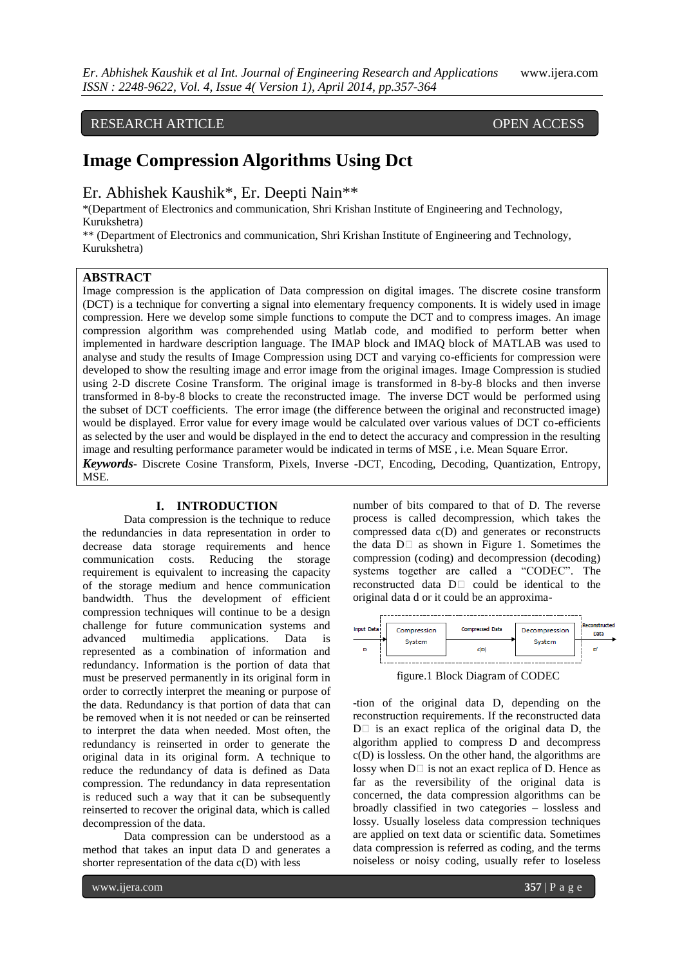## RESEARCH ARTICLE OPEN ACCESS

# **Image Compression Algorithms Using Dct**

Er. Abhishek Kaushik\*, Er. Deepti Nain\*\*

\*(Department of Electronics and communication, Shri Krishan Institute of Engineering and Technology, Kurukshetra)

\*\* (Department of Electronics and communication, Shri Krishan Institute of Engineering and Technology, Kurukshetra)

## **ABSTRACT**

Image compression is the application of Data compression on digital images. The discrete cosine transform (DCT) is a technique for converting a signal into elementary frequency components. It is widely used in image compression. Here we develop some simple functions to compute the DCT and to compress images. An image compression algorithm was comprehended using Matlab code, and modified to perform better when implemented in hardware description language. The IMAP block and IMAQ block of MATLAB was used to analyse and study the results of Image Compression using DCT and varying co-efficients for compression were developed to show the resulting image and error image from the original images. Image Compression is studied using 2-D discrete Cosine Transform. The original image is transformed in 8-by-8 blocks and then inverse transformed in 8-by-8 blocks to create the reconstructed image. The inverse DCT would be performed using the subset of DCT coefficients. The error image (the difference between the original and reconstructed image) would be displayed. Error value for every image would be calculated over various values of DCT co-efficients as selected by the user and would be displayed in the end to detect the accuracy and compression in the resulting image and resulting performance parameter would be indicated in terms of MSE , i.e. Mean Square Error. *Keywords*- Discrete Cosine Transform, Pixels, Inverse -DCT, Encoding, Decoding, Quantization, Entropy, MSE.

## **I. INTRODUCTION**

Data compression is the technique to reduce the redundancies in data representation in order to decrease data storage requirements and hence communication costs. Reducing the storage requirement is equivalent to increasing the capacity of the storage medium and hence communication bandwidth. Thus the development of efficient compression techniques will continue to be a design challenge for future communication systems and advanced multimedia applications. Data is represented as a combination of information and redundancy. Information is the portion of data that must be preserved permanently in its original form in order to correctly interpret the meaning or purpose of the data. Redundancy is that portion of data that can be removed when it is not needed or can be reinserted to interpret the data when needed. Most often, the redundancy is reinserted in order to generate the original data in its original form. A technique to reduce the redundancy of data is defined as Data compression. The redundancy in data representation is reduced such a way that it can be subsequently reinserted to recover the original data, which is called decompression of the data.

Data compression can be understood as a method that takes an input data D and generates a shorter representation of the data c(D) with less

number of bits compared to that of D. The reverse process is called decompression, which takes the compressed data c(D) and generates or reconstructs the data  $D \Box$  as shown in Figure 1. Sometimes the compression (coding) and decompression (decoding) systems together are called a "CODEC". The reconstructed data  $D \Box$  could be identical to the original data d or it could be an approxima-



figure.1 Block Diagram of CODEC

-tion of the original data D, depending on the reconstruction requirements. If the reconstructed data  $D \Box$  is an exact replica of the original data D, the algorithm applied to compress D and decompress c(D) is lossless. On the other hand, the algorithms are lossy when  $D \Box$  is not an exact replica of D. Hence as far as the reversibility of the original data is concerned, the data compression algorithms can be broadly classified in two categories – lossless and lossy. Usually loseless data compression techniques are applied on text data or scientific data. Sometimes data compression is referred as coding, and the terms noiseless or noisy coding, usually refer to loseless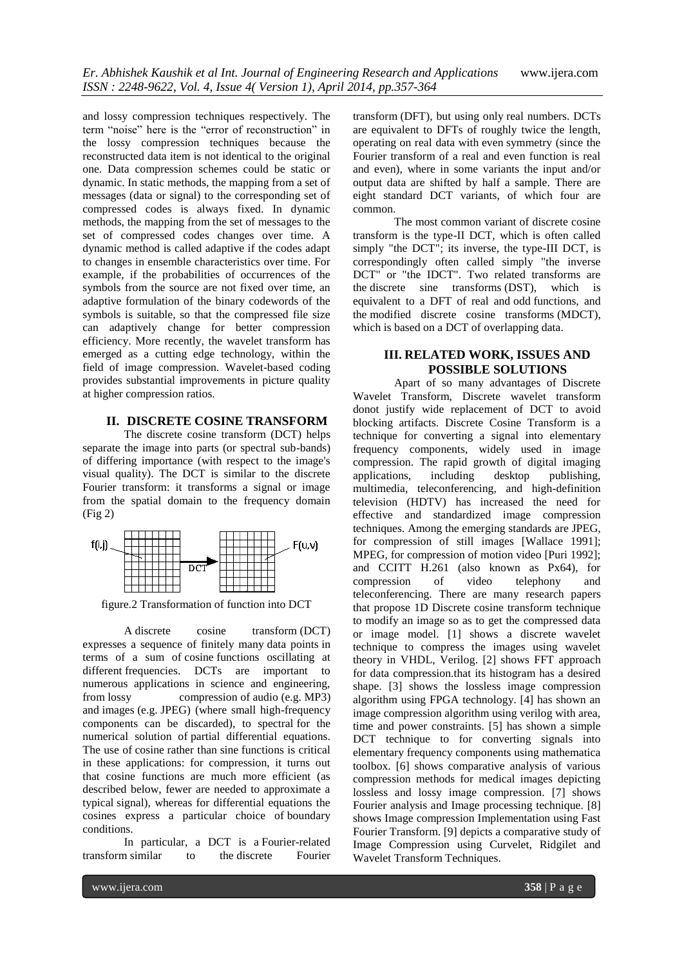and lossy compression techniques respectively. The term "noise" here is the "error of reconstruction" in the lossy compression techniques because the reconstructed data item is not identical to the original one. Data compression schemes could be static or dynamic. In static methods, the mapping from a set of messages (data or signal) to the corresponding set of compressed codes is always fixed. In dynamic methods, the mapping from the set of messages to the set of compressed codes changes over time. A dynamic method is called adaptive if the codes adapt to changes in ensemble characteristics over time. For example, if the probabilities of occurrences of the symbols from the source are not fixed over time, an adaptive formulation of the binary codewords of the symbols is suitable, so that the compressed file size can adaptively change for better compression efficiency. More recently, the wavelet transform has emerged as a cutting edge technology, within the field of image compression. Wavelet-based coding provides substantial improvements in picture quality at higher compression ratios.

## **II. DISCRETE COSINE TRANSFORM**

The discrete cosine transform (DCT) helps separate the image into parts (or spectral sub-bands) of differing importance (with respect to the image's visual quality). The DCT is similar to the discrete Fourier transform: it transforms a signal or image from the spatial domain to the frequency domain (Fig 2)



figure.2 Transformation of function into DCT

A discrete cosine transform (DCT) expresses a sequence of finitely many data points in terms of a sum of [cosine](http://en.wikipedia.org/wiki/Cosine) functions oscillating at different [frequencies.](http://en.wikipedia.org/wiki/Frequency) DCTs are important to numerous applications in science and engineering, from [lossy compression](http://en.wikipedia.org/wiki/Lossy_compression) of [audio](http://en.wikipedia.org/wiki/Audio_compression_(data)) (e.g. [MP3\)](http://en.wikipedia.org/wiki/MP3) and [images](http://en.wikipedia.org/wiki/Image_compression) (e.g. [JPEG\)](http://en.wikipedia.org/wiki/JPEG) (where small high-frequency components can be discarded), to spectral for the numerical solution of [partial differential equations.](http://en.wikipedia.org/wiki/Partial_differential_equations) The use of [cosine](http://en.wikipedia.org/wiki/Cosine) rather than [sine](http://en.wikipedia.org/wiki/Sine) functions is critical in these applications: for compression, it turns out that cosine functions are much more efficient (as described below, fewer are needed to approximate a typical [signal\)](http://en.wikipedia.org/wiki/Signal_(electrical_engineering)), whereas for differential equations the cosines express a particular choice of [boundary](http://en.wikipedia.org/wiki/Boundary_condition)  [conditions.](http://en.wikipedia.org/wiki/Boundary_condition)

In particular, a DCT is a [Fourier-related](http://en.wikipedia.org/wiki/List_of_Fourier-related_transforms)  [transform](http://en.wikipedia.org/wiki/List_of_Fourier-related_transforms) similar to the [discrete Fourier](http://en.wikipedia.org/wiki/Discrete_Fourier_transform)  [transform](http://en.wikipedia.org/wiki/Discrete_Fourier_transform) (DFT), but using only [real numbers.](http://en.wikipedia.org/wiki/Real_number) DCTs are equivalent to DFTs of roughly twice the length, operating on real data with [even](http://en.wikipedia.org/wiki/Even_and_odd_functions) symmetry (since the Fourier transform of a real and even function is real and even), where in some variants the input and/or output data are shifted by half a sample. There are eight standard DCT variants, of which four are common.

The most common variant of discrete cosine transform is the type-II DCT, which is often called simply "the DCT"; its inverse, the type-III DCT, is correspondingly often called simply "the inverse DCT" or "the IDCT". Two related transforms are the [discrete sine transforms](http://en.wikipedia.org/wiki/Discrete_sine_transform) (DST), which is equivalent to a DFT of real and odd functions, and the [modified discrete cosine transforms](http://en.wikipedia.org/wiki/Modified_discrete_cosine_transform) (MDCT), which is based on a DCT of overlapping data.

## **III. RELATED WORK, ISSUES AND POSSIBLE SOLUTIONS**

Apart of so many advantages of Discrete Wavelet Transform, Discrete wavelet transform donot justify wide replacement of DCT to avoid blocking artifacts. Discrete Cosine Transform is a technique for converting a signal into elementary frequency components, widely used in image compression. The rapid growth of digital imaging applications, including desktop publishing, multimedia, teleconferencing, and high-definition television (HDTV) has increased the need for effective and standardized image compression techniques. Among the emerging standards are JPEG, for compression of still images [Wallace 1991]; MPEG, for compression of motion video [Puri 1992]; and CCITT H.261 (also known as Px64), for<br>compression of video telephony and compression of video telephony and teleconferencing. There are many research papers that propose 1D Discrete cosine transform technique to modify an image so as to get the compressed data or image model. [1] shows a discrete wavelet technique to compress the images using wavelet theory in VHDL, Verilog. [2] shows FFT approach for data compression.that its histogram has a desired shape. [3] shows the lossless image compression algorithm using FPGA technology. [4] has shown an image compression algorithm using verilog with area, time and power constraints. [5] has shown a simple DCT technique to for converting signals into elementary frequency components using mathematica toolbox. [6] shows comparative analysis of various compression methods for medical images depicting lossless and lossy image compression. [7] shows Fourier analysis and Image processing technique. [8] shows Image compression Implementation using Fast Fourier Transform. [9] depicts a comparative study of Image Compression using Curvelet, Ridgilet and Wavelet Transform Techniques.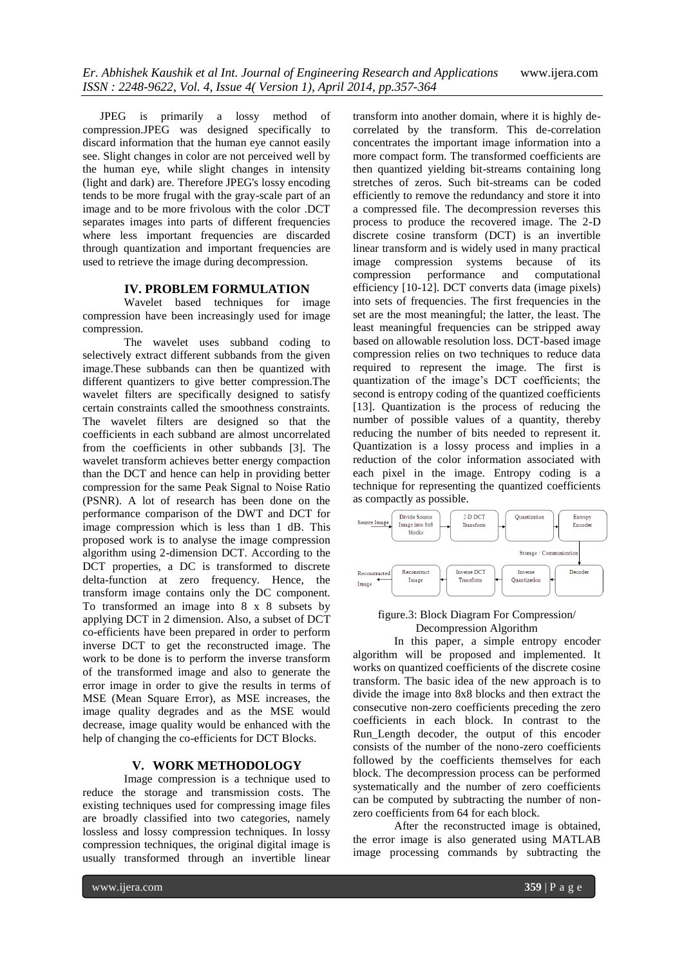JPEG is primarily a lossy method of compression.JPEG was designed specifically to discard information that the human eye cannot easily see. Slight changes in color are not perceived well by the human eye, while slight changes in intensity (light and dark) are. Therefore JPEG's lossy encoding tends to be more frugal with the gray-scale part of an image and to be more frivolous with the color .DCT separates images into parts of different frequencies where less important frequencies are discarded through quantization and important frequencies are used to retrieve the image during decompression.

#### **IV. PROBLEM FORMULATION**

Wavelet based techniques for image compression have been increasingly used for image compression.

The wavelet uses subband coding to selectively extract different subbands from the given image.These subbands can then be quantized with different quantizers to give better compression.The wavelet filters are specifically designed to satisfy certain constraints called the smoothness constraints. The wavelet filters are designed so that the coefficients in each subband are almost uncorrelated from the coefficients in other subbands [3]. The wavelet transform achieves better energy compaction than the DCT and hence can help in providing better compression for the same Peak Signal to Noise Ratio (PSNR). A lot of research has been done on the performance comparison of the DWT and DCT for image compression which is less than 1 dB. This proposed work is to analyse the image compression algorithm using 2-dimension DCT. According to the DCT properties, a DC is transformed to discrete delta-function at zero frequency. Hence, the transform image contains only the DC component. To transformed an image into 8 x 8 subsets by applying DCT in 2 dimension. Also, a subset of DCT co-efficients have been prepared in order to perform inverse DCT to get the reconstructed image. The work to be done is to perform the inverse transform of the transformed image and also to generate the error image in order to give the results in terms of MSE (Mean Square Error), as MSE increases, the image quality degrades and as the MSE would decrease, image quality would be enhanced with the help of changing the co-efficients for DCT Blocks.

#### **V. WORK METHODOLOGY**

Image compression is a technique used to reduce the storage and transmission costs. The existing techniques used for compressing image files are broadly classified into two categories, namely lossless and lossy compression techniques. In lossy compression techniques, the original digital image is usually transformed through an invertible linear

transform into another domain, where it is highly decorrelated by the transform. This de-correlation concentrates the important image information into a more compact form. The transformed coefficients are then quantized yielding bit-streams containing long stretches of zeros. Such bit-streams can be coded efficiently to remove the redundancy and store it into a compressed file. The decompression reverses this process to produce the recovered image. The 2-D discrete cosine transform (DCT) is an invertible linear transform and is widely used in many practical image compression systems because of its compression performance and computational efficiency [10-12]. DCT converts data (image pixels) into sets of frequencies. The first frequencies in the set are the most meaningful; the latter, the least. The least meaningful frequencies can be stripped away based on allowable resolution loss. DCT-based image compression relies on two techniques to reduce data required to represent the image. The first is quantization of the image"s DCT coefficients; the second is entropy coding of the quantized coefficients [13]. Quantization is the process of reducing the number of possible values of a quantity, thereby reducing the number of bits needed to represent it. Quantization is a lossy process and implies in a reduction of the color information associated with each pixel in the image. Entropy coding is a technique for representing the quantized coefficients as compactly as possible.



## figure.3: Block Diagram For Compression/ Decompression Algorithm

In this paper, a simple entropy encoder algorithm will be proposed and implemented. It works on quantized coefficients of the discrete cosine transform. The basic idea of the new approach is to divide the image into 8x8 blocks and then extract the consecutive non-zero coefficients preceding the zero coefficients in each block. In contrast to the Run\_Length decoder, the output of this encoder consists of the number of the nono-zero coefficients followed by the coefficients themselves for each block. The decompression process can be performed systematically and the number of zero coefficients can be computed by subtracting the number of nonzero coefficients from 64 for each block.

After the reconstructed image is obtained, the error image is also generated using MATLAB image processing commands by subtracting the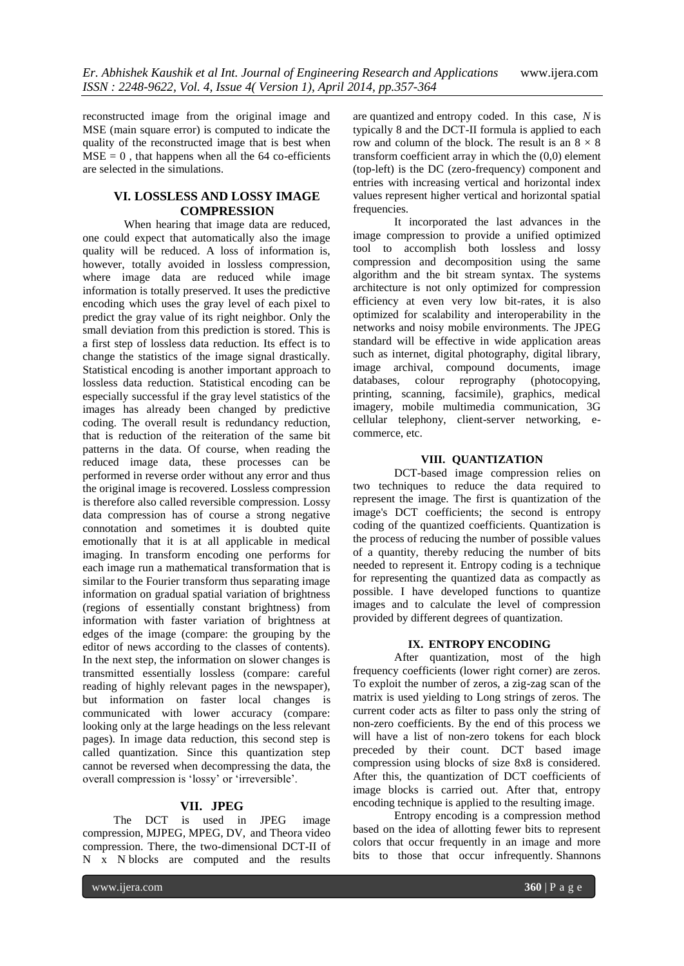reconstructed image from the original image and MSE (main square error) is computed to indicate the quality of the reconstructed image that is best when  $MSE = 0$ , that happens when all the 64 co-efficients are selected in the simulations.

## **VI. LOSSLESS AND LOSSY IMAGE COMPRESSION**

When hearing that image data are reduced, one could expect that automatically also the image quality will be reduced. A loss of information is, however, totally avoided in lossless compression, where image data are reduced while image information is totally preserved. It uses the predictive encoding which uses the gray level of each pixel to predict the gray value of its right neighbor. Only the small deviation from this prediction is stored. This is a first step of lossless data reduction. Its effect is to change the statistics of the image signal drastically. Statistical encoding is another important approach to lossless data reduction. Statistical encoding can be especially successful if the gray level statistics of the images has already been changed by predictive coding. The overall result is redundancy reduction, that is reduction of the reiteration of the same bit patterns in the data. Of course, when reading the reduced image data, these processes can be performed in reverse order without any error and thus the original image is recovered. Lossless compression is therefore also called reversible compression. Lossy data compression has of course a strong negative connotation and sometimes it is doubted quite emotionally that it is at all applicable in medical imaging. In transform encoding one performs for each image run a mathematical transformation that is similar to the Fourier transform thus separating image information on gradual spatial variation of brightness (regions of essentially constant brightness) from information with faster variation of brightness at edges of the image (compare: the grouping by the editor of news according to the classes of contents). In the next step, the information on slower changes is transmitted essentially lossless (compare: careful reading of highly relevant pages in the newspaper), but information on faster local changes is communicated with lower accuracy (compare: looking only at the large headings on the less relevant pages). In image data reduction, this second step is called quantization. Since this quantization step cannot be reversed when decompressing the data, the overall compression is "lossy" or "irreversible".

## **VII. JPEG**

The DCT is used in [JPEG](http://en.wikipedia.org/wiki/JPEG) image compression, [MJPEG,](http://en.wikipedia.org/wiki/MJPEG) [MPEG,](http://en.wikipedia.org/wiki/MPEG) [DV,](http://en.wikipedia.org/wiki/DV) and [Theora](http://en.wikipedia.org/wiki/Theora) [video](http://en.wikipedia.org/wiki/Video_compression)  [compression.](http://en.wikipedia.org/wiki/Video_compression) There, the two-dimensional DCT-II of N x N blocks are computed and the results

are [quantized](http://en.wikipedia.org/wiki/Quantization_(signal_processing)) and [entropy coded.](http://en.wikipedia.org/wiki/Entropy_encoding) In this case, *N* is typically 8 and the DCT-II formula is applied to each row and column of the block. The result is an  $8 \times 8$ transform coefficient array in which the (0,0) element (top-left) is the DC (zero-frequency) component and entries with increasing vertical and horizontal index values represent higher vertical and horizontal spatial frequencies.

It incorporated the last advances in the image compression to provide a unified optimized tool to accomplish both lossless and lossy compression and decomposition using the same algorithm and the bit stream syntax. The systems architecture is not only optimized for compression efficiency at even very low bit-rates, it is also optimized for scalability and interoperability in the networks and noisy mobile environments. The JPEG standard will be effective in wide application areas such as internet, digital photography, digital library, image archival, compound documents, image databases, colour reprography (photocopying, printing, scanning, facsimile), graphics, medical imagery, mobile multimedia communication, 3G cellular telephony, client-server networking, ecommerce, etc.

#### **VIII. QUANTIZATION**

DCT-based image compression relies on two techniques to reduce the data required to represent the image. The first is quantization of the image's DCT coefficients; the second is entropy coding of the quantized coefficients. Quantization is the process of reducing the number of possible values of a quantity, thereby reducing the number of bits needed to represent it. Entropy coding is a technique for representing the quantized data as compactly as possible. I have developed functions to quantize images and to calculate the level of compression provided by different degrees of quantization.

## **IX. ENTROPY ENCODING**

After quantization, most of the high frequency coefficients (lower right corner) are zeros. To exploit the number of zeros, a zig-zag scan of the matrix is used yielding to Long strings of zeros. The current coder acts as filter to pass only the string of non-zero coefficients. By the end of this process we will have a list of non-zero tokens for each block preceded by their count. DCT based image compression using blocks of size 8x8 is considered. After this, the quantization of DCT coefficients of image blocks is carried out. After that, entropy encoding technique is applied to the resulting image.

Entropy encoding is a compression method based on the idea of allotting fewer bits to represent colors that occur frequently in an image and more bits to those that occur infrequently. Shannons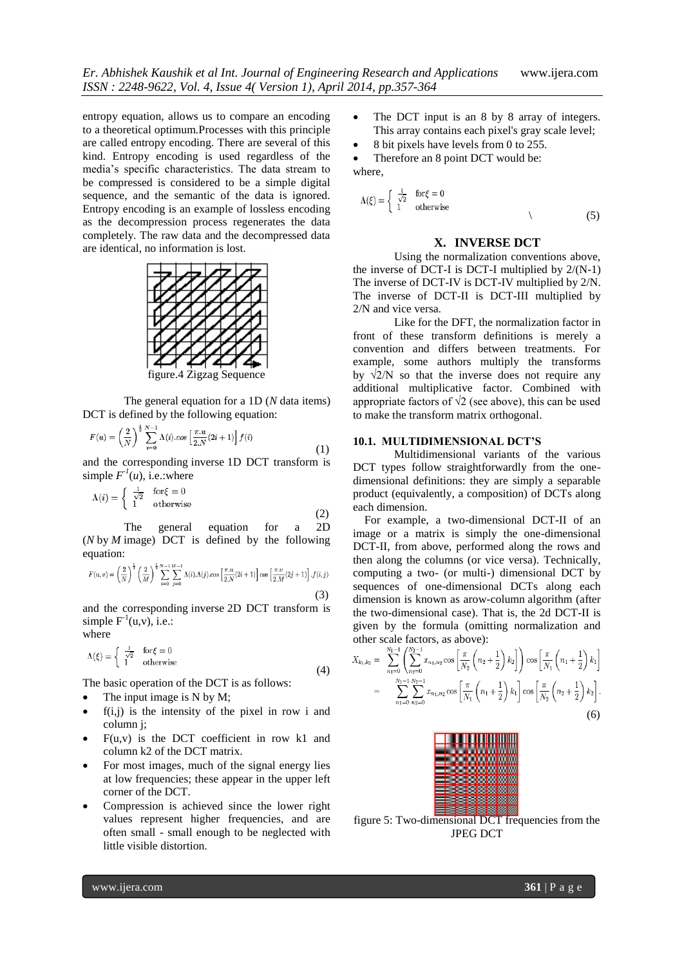entropy equation, allows us to compare an encoding to a theoretical optimum.Processes with this principle are called entropy encoding. There are several of this kind. Entropy encoding is used regardless of the media"s specific characteristics. The data stream to be compressed is considered to be a simple digital sequence, and the semantic of the data is ignored. Entropy encoding is an example of lossless encoding as the decompression process regenerates the data completely. The raw data and the decompressed data are identical, no information is lost.



figure.4 Zigzag Sequence

The general equation for a 1D (*N* data items) DCT is defined by the following equation:

$$
F(u) = \left(\frac{2}{N}\right)^{\frac{1}{2}} \sum_{i=0}^{N-1} \Lambda(i) \cdot \cos\left[\frac{\pi \cdot u}{2 \cdot N}(2i+1)\right] f(i)
$$
\n(1)

and the corresponding inverse 1D DCT transform is simple  $F^1(u)$ , i.e.:where

$$
\Lambda(i) = \begin{cases} \frac{1}{\sqrt{2}} & \text{for } \xi = 0\\ 1 & \text{otherwise} \end{cases} \tag{2}
$$

The general equation for a 2D (*N* by *M* image) DCT is defined by the following equation:

$$
F(u,v) = \left(\frac{2}{N}\right)^{\frac{1}{2}} \left(\frac{2}{M}\right)^{\frac{1}{2}} \sum_{i=0}^{N-1} \sum_{j=0}^{M-1} \Lambda(i) \Lambda(j) \cos\left[\frac{\pi u}{2N}(2i+1)\right] \cos\left[\frac{\pi v}{2M}(2j+1)\right] \cdot f(i,j)
$$
\n(3)

and the corresponding inverse 2D DCT transform is simple  $F^{-1}(u,v)$ , i.e.:

where

$$
\Lambda(\xi) = \begin{cases} \frac{1}{\sqrt{2}} & \text{for } \xi = 0\\ 1 & \text{otherwise} \end{cases}
$$

 (4) The basic operation of the DCT is as follows:

- The input image is N by M;
- $f(i,j)$  is the intensity of the pixel in row i and column j;
- $F(u,v)$  is the DCT coefficient in row k1 and column k2 of the DCT matrix.
- For most images, much of the signal energy lies at low frequencies; these appear in the upper left corner of the DCT.
- Compression is achieved since the lower right values represent higher frequencies, and are often small - small enough to be neglected with little visible distortion.
- The DCT input is an 8 by 8 array of integers. This array contains each pixel's gray scale level;
- 8 bit pixels have levels from 0 to 255.
- Therefore an 8 point DCT would be: where,

$$
\Lambda(\xi) = \begin{cases} \frac{1}{\sqrt{2}} & \text{for } \xi = 0\\ 1 & \text{otherwise} \end{cases}
$$
 (5)

#### **X. INVERSE DCT**

Using the normalization conventions above, the inverse of DCT-I is DCT-I multiplied by  $2/(N-1)$ The inverse of DCT-IV is DCT-IV multiplied by 2/N. The inverse of DCT-II is DCT-III multiplied by 2/N and vice versa.

Like for the DFT, the normalization factor in front of these transform definitions is merely a convention and differs between treatments. For example, some authors multiply the transforms by  $\sqrt{2/N}$  so that the inverse does not require any additional multiplicative factor. Combined with appropriate factors of  $\sqrt{2}$  (see above), this can be used to make the transform matrix orthogonal.

#### **10.1. MULTIDIMENSIONAL DCT'S**

Multidimensional variants of the various DCT types follow straightforwardly from the onedimensional definitions: they are simply a separable product (equivalently, a composition) of DCTs along each dimension.

 For example, a two-dimensional DCT-II of an image or a matrix is simply the one-dimensional DCT-II, from above, performed along the rows and then along the columns (or vice versa). Technically, computing a two- (or multi-) dimensional DCT by sequences of one-dimensional DCTs along each dimension is known as arow-column algorithm (after the two-dimensional case). That is, the 2d DCT-II is given by the formula (omitting normalization and other scale factors, as above):

$$
X_{k_1,k_2} = \sum_{n_1=0}^{N_1-1} \left( \sum_{n_2=0}^{N_2-1} x_{n_1,n_2} \cos\left[\frac{\pi}{N_2} \left(n_2 + \frac{1}{2}\right) k_2\right] \right) \cos\left[\frac{\pi}{N_1} \left(n_1 + \frac{1}{2}\right) k_1\right]
$$
  
= 
$$
\sum_{n_1=0}^{N_1-1} \sum_{n_2=0}^{N_2-1} x_{n_1,n_2} \cos\left[\frac{\pi}{N_1} \left(n_1 + \frac{1}{2}\right) k_1\right] \cos\left[\frac{\pi}{N_2} \left(n_2 + \frac{1}{2}\right) k_2\right].
$$
 (6)



figure 5: Two-dimensional DCT frequencies from the JPEG DCT

www.ijera.com **361** | P a g e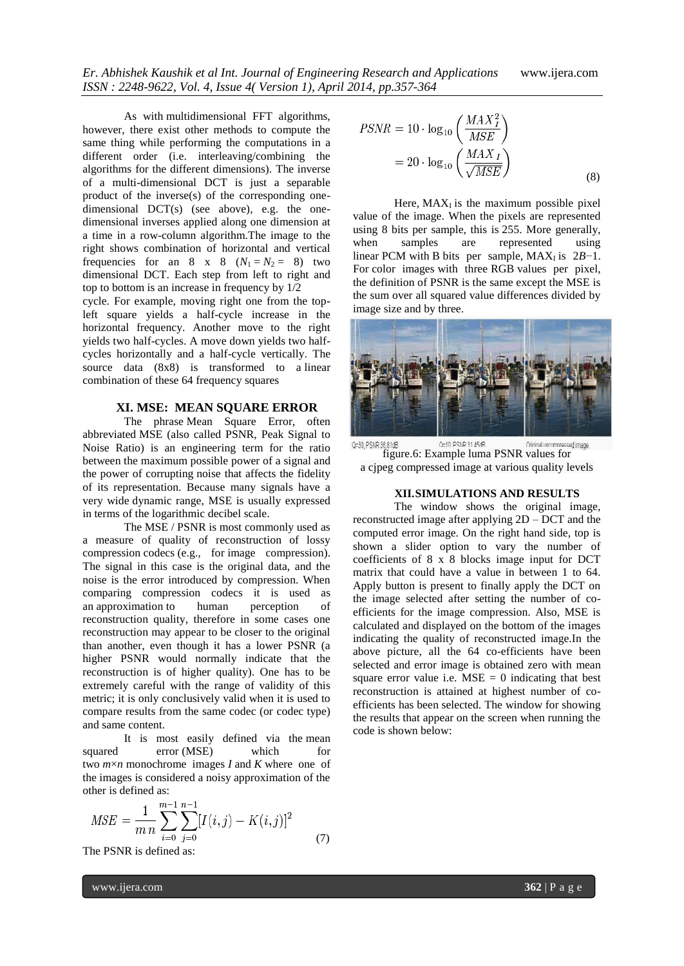As with multidimensional FFT algorithms, however, there exist other methods to compute the same thing while performing the computations in a different order (i.e. interleaving/combining the algorithms for the different dimensions). The inverse of a multi-dimensional DCT is just a separable product of the inverse(s) of the corresponding onedimensional DCT(s) (see above), e.g. the onedimensional inverses applied along one dimension at a time in a row-column algorithm.The image to the right shows combination of horizontal and vertical frequencies for an  $8 \times 8 \quad (N_1 = N_2 = 8)$  two dimensional DCT. Each step from left to right and top to bottom is an increase in frequency by 1/2

cycle. For example, moving right one from the topleft square yields a half-cycle increase in the horizontal frequency. Another move to the right yields two half-cycles. A move down yields two halfcycles horizontally and a half-cycle vertically. The source data (8x8) is transformed to a linear combination of these 64 frequency squares

## **XI. MSE: MEAN SQUARE ERROR**

The phrase Mean Square Error, often abbreviated MSE (also called PSNR, Peak Signal to Noise Ratio) is an engineering term for the ratio between the maximum possible power of a [signal](http://en.wikipedia.org/wiki/Signal_(information_theory)) and the power of corrupting noise that affects the fidelity of its representation. Because many signals have a very wide [dynamic range,](http://en.wikipedia.org/wiki/Dynamic_range) MSE is usually expressed in terms of the [logarithmic](http://en.wikipedia.org/wiki/Logarithm) [decibel](http://en.wikipedia.org/wiki/Decibel) scale.

The MSE / PSNR is most commonly used as a measure of quality of reconstruction of lossy compression [codecs](http://en.wikipedia.org/wiki/Codec) (e.g., for [image compression\)](http://en.wikipedia.org/wiki/Image_compression). The signal in this case is the original data, and the noise is the error introduced by compression. When comparing compression codecs it is used as an approximation to human perception of reconstruction quality, therefore in some cases one reconstruction may appear to be closer to the original than another, even though it has a lower PSNR (a higher PSNR would normally indicate that the reconstruction is of higher quality). One has to be extremely careful with the range of validity of this metric; it is only conclusively valid when it is used to compare results from the same codec (or codec type) and same content.

It is most easily defined via the [mean](http://en.wikipedia.org/wiki/Mean_squared_error)  [squared error](http://en.wikipedia.org/wiki/Mean_squared_error) (MSE) which for two *m*×*n* monochrome images *I* and *K* where one of the images is considered a noisy approximation of the other is defined as:

$$
MSE = \frac{1}{m n} \sum_{i=0}^{m-1} \sum_{j=0}^{n-1} [I(i,j) - K(i,j)]^2
$$
 (7)

The PSNR is defined as:

$$
PSNR = 10 \cdot \log_{10} \left( \frac{MAX_I^2}{MSE} \right)
$$
  
= 20 \cdot \log\_{10} \left( \frac{MAX\_I}{\sqrt{MSE}} \right) (8)

Here,  $MAX_{I}$  is the maximum possible pixel value of the image. When the pixels are represented using 8 bits per sample, this is 255. More generally, when samples are represented using linear PCM with B bits per sample,  $MAX_{I}$  is  $2B-1$ . For color images with three RGB values per pixel, the definition of PSNR is the same except the MSE is the sum over all squared value differences divided by image size and by three.



Q=30, PSNR 36.81dB **figure.6:** C=10 PSNP 3145dR Contain containment conditions figure.6: Example luma PSNR values for 0=10 PSNR 3145dR a cjpeg compressed image at various quality levels

#### **XII.SIMULATIONS AND RESULTS**

The window shows the original image, reconstructed image after applying 2D – DCT and the computed error image. On the right hand side, top is shown a slider option to vary the number of coefficients of 8 x 8 blocks image input for DCT matrix that could have a value in between 1 to 64. Apply button is present to finally apply the DCT on the image selected after setting the number of coefficients for the image compression. Also, MSE is calculated and displayed on the bottom of the images indicating the quality of reconstructed image.In the above picture, all the 64 co-efficients have been selected and error image is obtained zero with mean square error value i.e.  $MSE = 0$  indicating that best reconstruction is attained at highest number of coefficients has been selected. The window for showing the results that appear on the screen when running the code is shown below: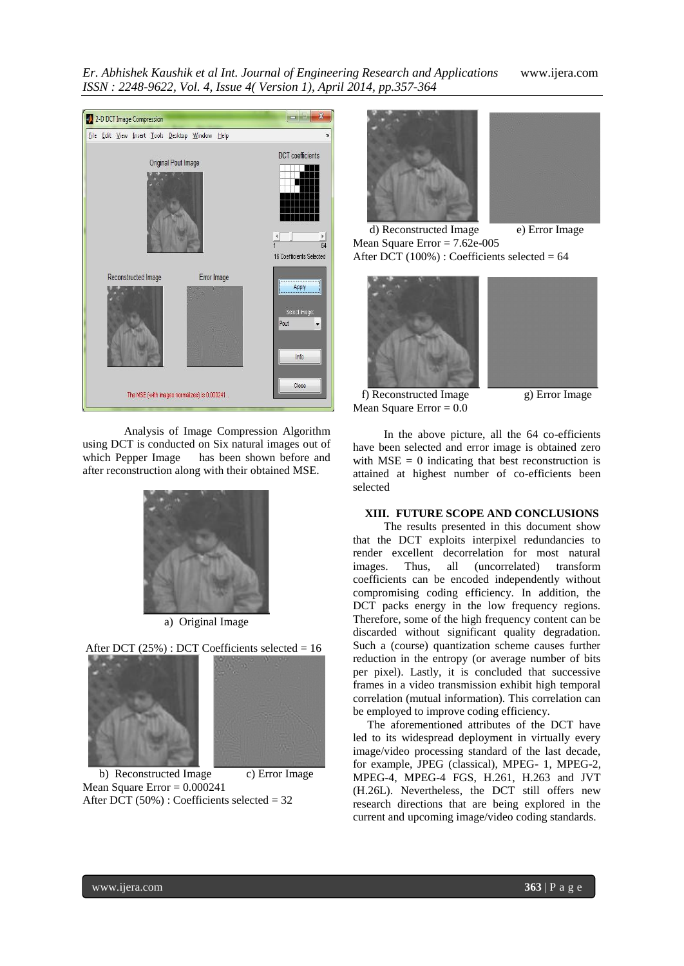*Er. Abhishek Kaushik et al Int. Journal of Engineering Research and Applications* www.ijera.com *ISSN : 2248-9622, Vol. 4, Issue 4( Version 1), April 2014, pp.357-364*





Analysis of Image Compression Algorithm using DCT is conducted on Six natural images out of which Pepper Image has been shown before and after reconstruction along with their obtained MSE.



a) Original Image



b) Reconstructed Image c) Error Image Mean Square Error  $= 0.000241$ After DCT  $(50\%)$  : Coefficients selected = 32



d) Reconstructed Image e) Error Image Mean Square Error = 7.62e-005 After DCT (100%) : Coefficients selected =  $64$ 





f) Reconstructed Image g) Error Image Mean Square Error  $= 0.0$ 

In the above picture, all the 64 co-efficients have been selected and error image is obtained zero with  $MSE = 0$  indicating that best reconstruction is attained at highest number of co-efficients been selected

#### **XIII. FUTURE SCOPE AND CONCLUSIONS**

The results presented in this document show that the DCT exploits interpixel redundancies to render excellent decorrelation for most natural images. Thus, all (uncorrelated) transform coefficients can be encoded independently without compromising coding efficiency. In addition, the DCT packs energy in the low frequency regions. Therefore, some of the high frequency content can be discarded without significant quality degradation. Such a (course) quantization scheme causes further reduction in the entropy (or average number of bits per pixel). Lastly, it is concluded that successive frames in a video transmission exhibit high temporal correlation (mutual information). This correlation can be employed to improve coding efficiency.

 The aforementioned attributes of the DCT have led to its widespread deployment in virtually every image/video processing standard of the last decade, for example, JPEG (classical), MPEG- 1, MPEG-2, MPEG-4, MPEG-4 FGS, H.261, H.263 and JVT (H.26L). Nevertheless, the DCT still offers new research directions that are being explored in the current and upcoming image/video coding standards.